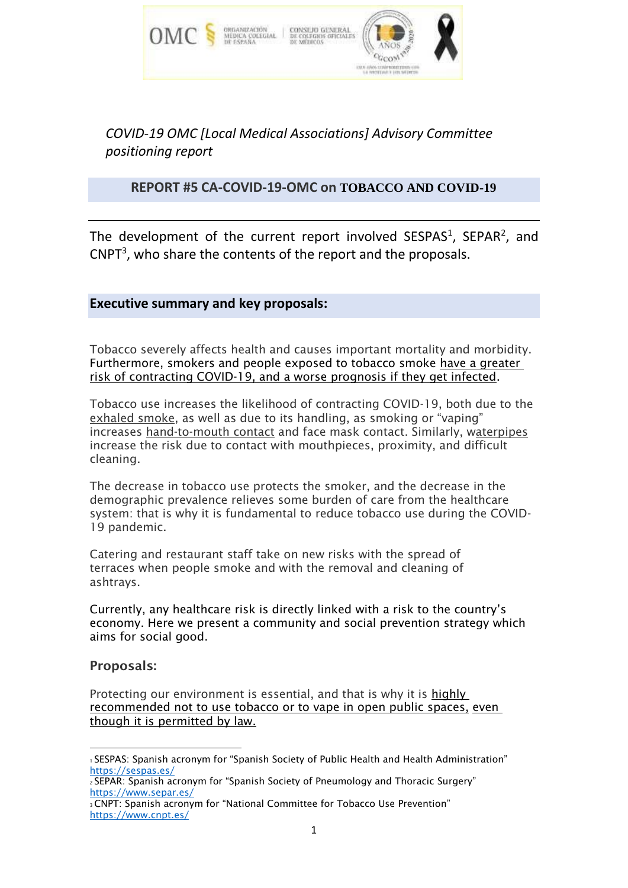

*COVID-19 OMC [Local Medical Associations] Advisory Committee positioning report*

# **REPORT #5 CA-COVID-19-OMC on TOBACCO AND COVID-19**

The development of the current report involved  $SESPAS<sup>1</sup>$ ,  $SEPAR<sup>2</sup>$ , and  $CNPT<sup>3</sup>$ , who share the contents of the report and the proposals.

## **Executive summary and key proposals:**

Tobacco severely affects health and causes important mortality and morbidity. Furthermore, smokers and people exposed to tobacco smoke have a greater risk of contracting COVID-19, and a worse prognosis if they get infected.

Tobacco use increases the likelihood of contracting COVID-19, both due to the exhaled smoke, as well as due to its handling, as smoking or "vaping" increases hand-to-mouth contact and face mask contact. Similarly, waterpipes increase the risk due to contact with mouthpieces, proximity, and difficult cleaning.

The decrease in tobacco use protects the smoker, and the decrease in the demographic prevalence relieves some burden of care from the healthcare system: that is why it is fundamental to reduce tobacco use during the COVID-19 pandemic.

Catering and restaurant staff take on new risks with the spread of terraces when people smoke and with the removal and cleaning of ashtrays.

Currently, any healthcare risk is directly linked with a risk to the country's economy. Here we present a community and social prevention strategy which aims for social good.

## Proposals:

Protecting our environment is essential, and that is why it is highly recommended not to use tobacco or to vape in open public spaces, even though it is permitted by law.

<sup>1</sup>SESPAS: Spanish acronym for "Spanish Society of Public Health and Health Administration" <https://sespas.es/>

<sup>2</sup>SEPAR: Spanish acronym for "Spanish Society of Pneumology and Thoracic Surgery" <https://www.separ.es/>

<sup>3</sup>CNPT: Spanish acronym for "National Committee for Tobacco Use Prevention" <https://www.cnpt.es/>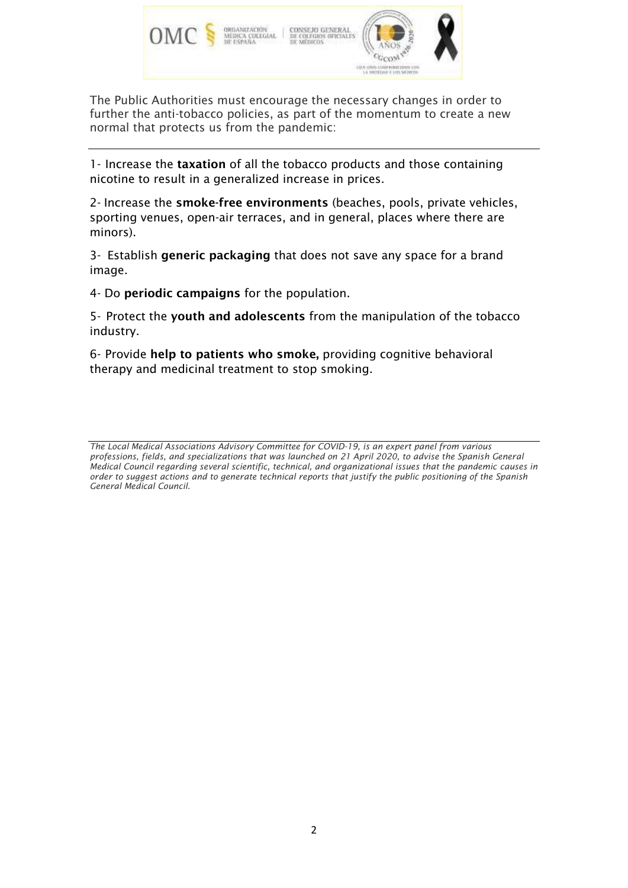

The Public Authorities must encourage the necessary changes in order to further the anti-tobacco policies, as part of the momentum to create a new normal that protects us from the pandemic:

1- Increase the taxation of all the tobacco products and those containing nicotine to result in a generalized increase in prices.

2- Increase the smoke-free environments (beaches, pools, private vehicles, sporting venues, open-air terraces, and in general, places where there are minors).

3- Establish generic packaging that does not save any space for a brand image.

4- Do periodic campaigns for the population.

5- Protect the youth and adolescents from the manipulation of the tobacco industry.

6- Provide help to patients who smoke, providing cognitive behavioral therapy and medicinal treatment to stop smoking.

*The Local Medical Associations Advisory Committee for COVID-19, is an expert panel from various professions, fields, and specializations that was launched on 21 April 2020, to advise the Spanish General Medical Council regarding several scientific, technical, and organizational issues that the pandemic causes in order to suggest actions and to generate technical reports that justify the public positioning of the Spanish General Medical Council.*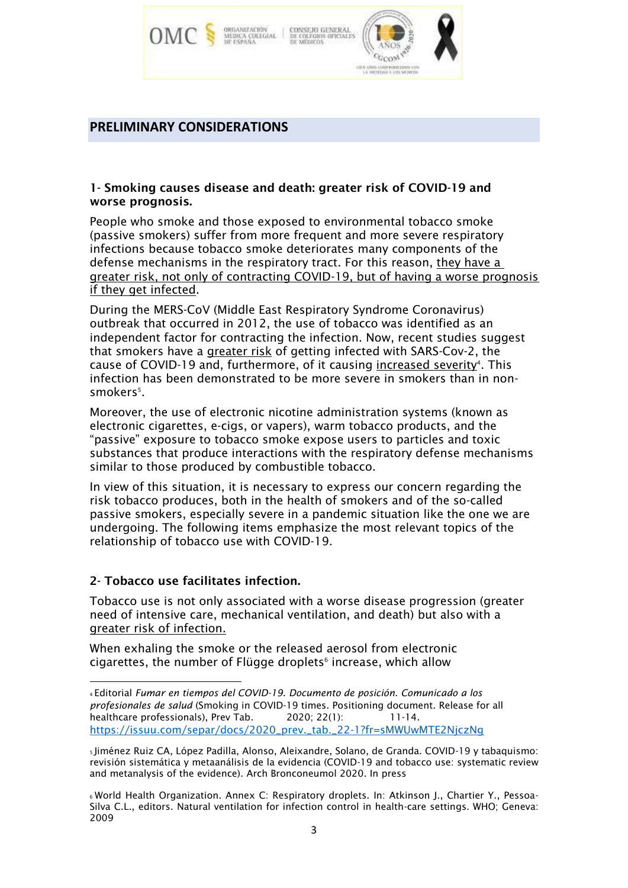

#### **PRELIMINARY CONSIDERATIONS**

#### 1- Smoking causes disease and death: greater risk of COVID-19 and worse prognosis.

People who smoke and those exposed to environmental tobacco smoke (passive smokers) suffer from more frequent and more severe respiratory infections because tobacco smoke deteriorates many components of the defense mechanisms in the respiratory tract. For this reason, they have a greater risk, not only of contracting COVID-19, but of having a worse prognosis if they get infected.

During the MERS-CoV (Middle East Respiratory Syndrome Coronavirus) outbreak that occurred in 2012, the use of tobacco was identified as an independent factor for contracting the infection. Now, recent studies suggest that smokers have a greater risk of getting infected with SARS-Cov-2, the cause of COVID-19 and, furthermore, of it causing <u>increased severity</u><sup>4</sup>. This infection has been demonstrated to be more severe in smokers than in nonsmokers<sup>5</sup>.

Moreover, the use of electronic nicotine administration systems (known as electronic cigarettes, e-cigs, or vapers), warm tobacco products, and the "passive" exposure to tobacco smoke expose users to particles and toxic substances that produce interactions with the respiratory defense mechanisms similar to those produced by combustible tobacco.

In view of this situation, it is necessary to express our concern regarding the risk tobacco produces, both in the health of smokers and of the so-called passive smokers, especially severe in a pandemic situation like the one we are undergoing. The following items emphasize the most relevant topics of the relationship of tobacco use with COVID-19.

## 2- Tobacco use facilitates infection.

Tobacco use is not only associated with a worse disease progression (greater need of intensive care, mechanical ventilation, and death) but also with a greater risk of infection.

When exhaling the smoke or the released aerosol from electronic cigarettes, the number of Flügge droplets<sup>6</sup> increase, which allow

<sup>4</sup>Editorial *Fumar en tiempos del COVID-19*. *Documento de posición. Comunicado a los profesionales de salud* (Smoking in COVID-19 times. Positioning document. Release for all healthcare professionals), Prev Tab. 2020; 22(1): 11-14. [https://issuu.com/separ/docs/2020\\_prev.\\_tab.\\_22-1?fr=sMWUwMTE2NjczNg](https://issuu.com/separ/docs/2020_prev._tab._22-1?fr=sMWUwMTE2NjczNg)

<sup>5</sup>Jiménez Ruiz CA, López Padilla, Alonso, Aleixandre, Solano, de Granda. COVID-19 y tabaquismo: revisión sistemática y metaanálisis de la evidencia (COVID-19 and tobacco use: systematic review and metanalysis of the evidence). Arch Bronconeumol 2020. In press

<sup>6</sup> World Health Organization. Annex C: Respiratory droplets. In: Atkinson J., Chartier Y., Pessoa-Silva C.L., editors. Natural ventilation for infection control in health-care settings. WHO; Geneva: 2009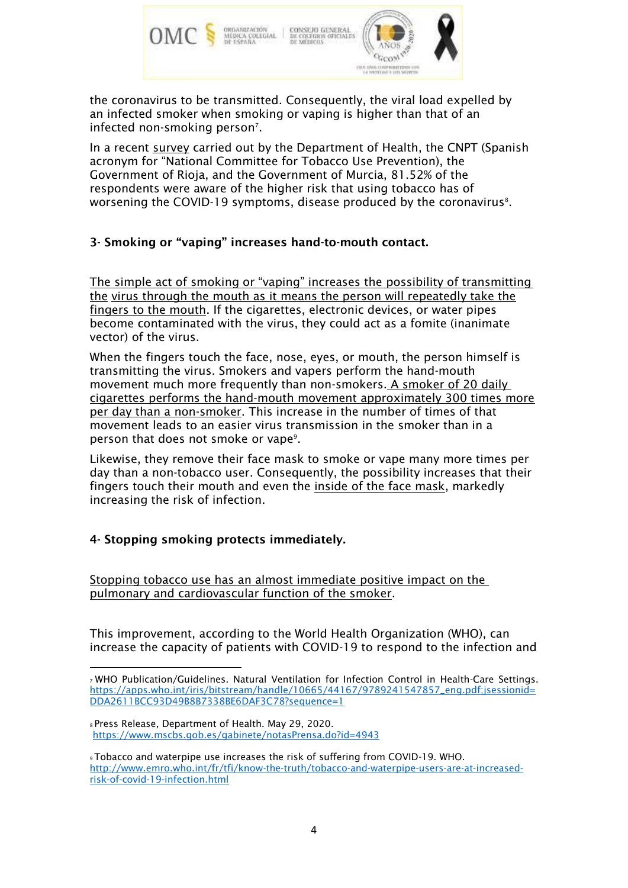

the coronavirus to be transmitted. Consequently, the viral load expelled by an infected smoker when smoking or vaping is higher than that of an infected non-smoking person<sup>7</sup>.

In a recent survey carried out by the Department of Health, the CNPT (Spanish acronym for "National Committee for Tobacco Use Prevention), the Government of Rioja, and the Government of Murcia, 81.52% of the respondents were aware of the higher risk that using tobacco has of worsening the COVID-19 symptoms, disease produced by the coronavirus $^{\mathrm{s}}$ .

## 3- Smoking or "vaping" increases hand-to-mouth contact.

The simple act of smoking or "vaping" increases the possibility of transmitting the virus through the mouth as it means the person will repeatedly take the fingers to the mouth. If the cigarettes, electronic devices, or water pipes become contaminated with the virus, they could act as a fomite (inanimate vector) of the virus.

When the fingers touch the face, nose, eyes, or mouth, the person himself is transmitting the virus. Smokers and vapers perform the hand-mouth movement much more frequently than non-smokers. A smoker of 20 daily cigarettes performs the hand-mouth movement approximately 300 times more per day than a non-smoker. This increase in the number of times of that movement leads to an easier virus transmission in the smoker than in a person that does not smoke or vape<sup>9</sup>.

Likewise, they remove their face mask to smoke or vape many more times per day than a non-tobacco user. Consequently, the possibility increases that their fingers touch their mouth and even the inside of the face mask, markedly increasing the risk of infection.

## 4- Stopping smoking protects immediately.

Stopping tobacco use has an almost immediate positive impact on the pulmonary and cardiovascular function of the smoker.

This improvement, according to the World Health Organization (WHO), can increase the capacity of patients with COVID-19 to respond to the infection and

<sup>8</sup>Press Release, Department of Health. May 29, 2020. <https://www.mscbs.gob.es/gabinete/notasPrensa.do?id=4943>

<sup>7</sup>WHO Publication/Guidelines. Natural Ventilation for Infection Control in Health-Care Settings. [https://apps.who.int/iris/bitstream/handle/10665/44167/9789241547857\\_eng.pdf;jsessionid=](https://apps.who.int/iris/bitstream/handle/10665/44167/9789241547857_eng.pdf%3Bjsessionid%3DDDA2611BCC93D49B8B7338BE6DAF3C78?sequence=1) [DDA2611BCC93D49B8B7338BE6DAF3C78?sequence=1](https://apps.who.int/iris/bitstream/handle/10665/44167/9789241547857_eng.pdf%3Bjsessionid%3DDDA2611BCC93D49B8B7338BE6DAF3C78?sequence=1)

<sup>9</sup>Tobacco and waterpipe use increases the risk of suffering from COVID-19. WHO. [http://www.emro.who.int/fr/tfi/know-the-truth/tobacco-and-waterpipe-users-are-at-increased](http://www.emro.who.int/fr/tfi/know-the-truth/tobacco-and-waterpipe-users-are-at-increased-risk-of-covid-19-infection.html)[risk-of-covid-19-infection.html](http://www.emro.who.int/fr/tfi/know-the-truth/tobacco-and-waterpipe-users-are-at-increased-risk-of-covid-19-infection.html)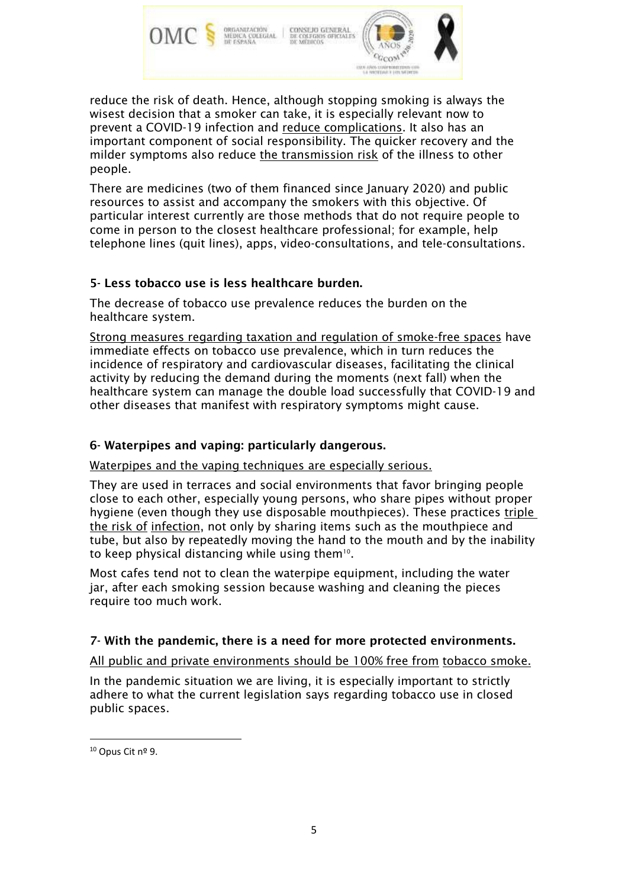

reduce the risk of death. Hence, although stopping smoking is always the wisest decision that a smoker can take, it is especially relevant now to prevent a COVID-19 infection and reduce complications. It also has an important component of social responsibility. The quicker recovery and the milder symptoms also reduce the transmission risk of the illness to other people.

There are medicines (two of them financed since January 2020) and public resources to assist and accompany the smokers with this objective. Of particular interest currently are those methods that do not require people to come in person to the closest healthcare professional; for example, help telephone lines (quit lines), apps, video-consultations, and tele-consultations.

## 5- Less tobacco use is less healthcare burden.

The decrease of tobacco use prevalence reduces the burden on the healthcare system.

Strong measures regarding taxation and regulation of smoke-free spaces have immediate effects on tobacco use prevalence, which in turn reduces the incidence of respiratory and cardiovascular diseases, facilitating the clinical activity by reducing the demand during the moments (next fall) when the healthcare system can manage the double load successfully that COVID-19 and other diseases that manifest with respiratory symptoms might cause.

#### 6- Waterpipes and vaping: particularly dangerous.

Waterpipes and the vaping techniques are especially serious.

They are used in terraces and social environments that favor bringing people close to each other, especially young persons, who share pipes without proper hygiene (even though they use disposable mouthpieces). These practices triple the risk of infection, not only by sharing items such as the mouthpiece and tube, but also by repeatedly moving the hand to the mouth and by the inability to keep physical distancing while using them $^{10}$ .

Most cafes tend not to clean the waterpipe equipment, including the water jar, after each smoking session because washing and cleaning the pieces require too much work.

## 7- With the pandemic, there is a need for more protected environments.

All public and private environments should be 100% free from tobacco smoke.

In the pandemic situation we are living, it is especially important to strictly adhere to what the current legislation says regarding tobacco use in closed public spaces.

<sup>10</sup> Opus Cit nº 9.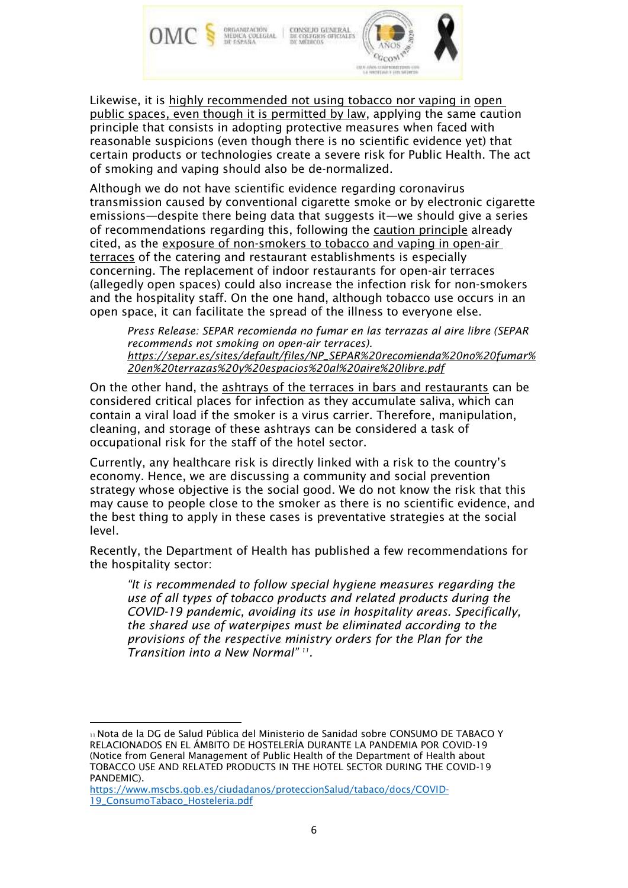

Likewise, it is highly recommended not using tobacco nor vaping in open public spaces, even though it is permitted by law, applying the same caution principle that consists in adopting protective measures when faced with reasonable suspicions (even though there is no scientific evidence yet) that certain products or technologies create a severe risk for Public Health. The act of smoking and vaping should also be de-normalized.

Although we do not have scientific evidence regarding coronavirus transmission caused by conventional cigarette smoke or by electronic cigarette emissions—despite there being data that suggests it—we should give a series of recommendations regarding this, following the caution principle already cited, as the exposure of non-smokers to tobacco and vaping in open-air terraces of the catering and restaurant establishments is especially concerning. The replacement of indoor restaurants for open-air terraces (allegedly open spaces) could also increase the infection risk for non-smokers and the hospitality staff. On the one hand, although tobacco use occurs in an open space, it can facilitate the spread of the illness to everyone else.

*Press Release: SEPAR recomienda no fumar en las terrazas al aire libre (SEPAR recommends not smoking on open-air terraces). [https://separ.es/sites/default/files/NP\\_SEPAR%20recomienda%20no%20fumar%](https://separ.es/sites/default/files/NP_SEPAR%20recomienda%20no%20fumar%20en%20terrazas%20y%20espacios%20al%20aire%20libre.pdf) [20en%20terrazas%20y%20espacios%20al%20aire%20libre.pdf](https://separ.es/sites/default/files/NP_SEPAR%20recomienda%20no%20fumar%20en%20terrazas%20y%20espacios%20al%20aire%20libre.pdf)*

On the other hand, the ashtrays of the terraces in bars and restaurants can be considered critical places for infection as they accumulate saliva, which can contain a viral load if the smoker is a virus carrier. Therefore, manipulation, cleaning, and storage of these ashtrays can be considered a task of occupational risk for the staff of the hotel sector.

Currently, any healthcare risk is directly linked with a risk to the country's economy. Hence, we are discussing a community and social prevention strategy whose objective is the social good. We do not know the risk that this may cause to people close to the smoker as there is no scientific evidence, and the best thing to apply in these cases is preventative strategies at the social level.

Recently, the Department of Health has published a few recommendations for the hospitality sector:

*"It is recommended to follow special hygiene measures regarding the use of all types of tobacco products and related products during the COVID-19 pandemic, avoiding its use in hospitality areas. Specifically, the shared use of waterpipes must be eliminated according to the provisions of the respective ministry orders for the Plan for the Transition into a New Normal" <sup>11</sup> .*

<sup>11</sup>Nota de la DG de Salud Pública del Ministerio de Sanidad sobre CONSUMO DE TABACO Y RELACIONADOS EN EL ÁMBITO DE HOSTELERÍA DURANTE LA PANDEMIA POR COVID-19 (Notice from General Management of Public Health of the Department of Health about TOBACCO USE AND RELATED PRODUCTS IN THE HOTEL SECTOR DURING THE COVID-19 PANDEMIC).

[https://www.mscbs.gob.es/ciudadanos/proteccionSalud/tabaco/docs/COVID-](https://www.mscbs.gob.es/ciudadanos/proteccionSalud/tabaco/docs/COVID-19_ConsumoTabaco_Hosteleria.pdf)[19\\_ConsumoTabaco\\_Hosteleria.pdf](https://www.mscbs.gob.es/ciudadanos/proteccionSalud/tabaco/docs/COVID-19_ConsumoTabaco_Hosteleria.pdf)